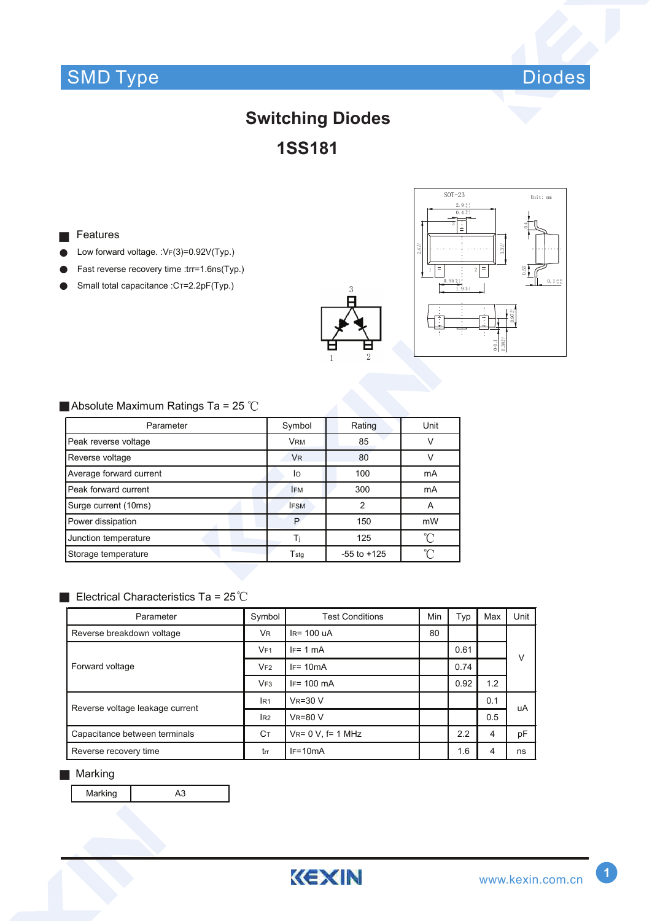# SMD Type Diodes



# **Switching Diodes 1SS181**

#### Features ■

- Low forward voltage. : VF(3)=0.92V(Typ.) ●
- Fast reverse recovery time :trr=1.6ns(Typ.) ●
- Small total capacitance :CT=2.2pF(Typ.) ●





### ■ Absolute Maximum Ratings Ta = 25  $°C$

| Parameter               | Symbol                      | Rating          | Unit     |
|-------------------------|-----------------------------|-----------------|----------|
| Peak reverse voltage    | <b>VRM</b>                  | 85              |          |
| Reverse voltage         | <b>V<sub>R</sub></b>        | 80              |          |
| Average forward current | lo                          | 100             | mA       |
| Peak forward current    | <b>IFM</b>                  | 300             | mA       |
| Surge current (10ms)    | <b>IFSM</b>                 | 2               | A        |
| Power dissipation       | P                           | 150             | mW       |
| Junction temperature    | Ti                          | 125             | ิ่∩      |
| Storage temperature     | $\mathsf{T}_{\mathsf{stg}}$ | $-55$ to $+125$ | $\gamma$ |

### Electrical Characteristics Ta =  $25^{\circ}$ C

| Parameter                       | Symbol          | <b>Test Conditions</b>   | Min | Typ  | Max | Unit |
|---------------------------------|-----------------|--------------------------|-----|------|-----|------|
| Reverse breakdown voltage       | <b>VR</b>       | $IR = 100$ uA            | 80  |      |     |      |
| Forward voltage                 | VF1             | $IF = 1 mA$              |     | 0.61 |     | V    |
|                                 | VF2             | $IF = 10mA$              |     | 0.74 |     |      |
|                                 | VF3             | $IF = 100 \text{ mA}$    |     | 0.92 | 1.2 |      |
| Reverse voltage leakage current | IR <sub>1</sub> | $V_R = 30 V$             |     |      | 0.1 | uA   |
|                                 | IR2             | $V_R = 80 V$             |     |      | 0.5 |      |
| Capacitance between terminals   | Cт              | $V_{R} = 0 V$ , f= 1 MHz |     | 2.2  | 4   | pF   |
| Reverse recovery time           | trr             | $IF=10mA$                |     | 1.6  | 4   | ns   |

#### ■ Marking

Marking **A3**